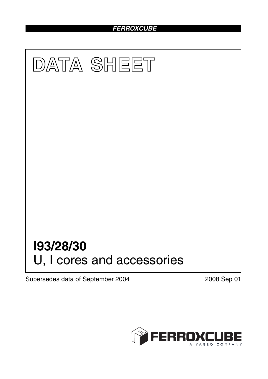# *FERROXCUBE*



Supersedes data of September 2004 2008 Sep 01

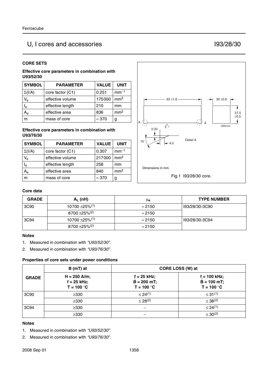# U, I cores and accessories I93/28/30

### **CORE SETS**

#### **Effective core parameters in combination with U93/52/30**

| <b>SYMBOL</b> | <b>PARAMETER</b> | <b>VALUE</b>  | <b>UNIT</b>     |
|---------------|------------------|---------------|-----------------|
| $\Sigma(I/A)$ | core factor (C1) | 0.251         | $mm-1$          |
| $V_{e}$       | effective volume | 175000        | mm <sup>3</sup> |
| $I_e$         | effective length | 210           | mm              |
| Ą,            | effective area   | 836           | mm <sup>2</sup> |
|               | mass of core     | $\approx 370$ | g               |

#### **Effective core parameters in combination with U93/76/30**

| <b>SYMBOL</b>  | <b>PARAMETER</b> | <b>VALUE</b>  | <b>UNIT</b>     |
|----------------|------------------|---------------|-----------------|
| $\Sigma(I/A)$  | core factor (C1) | 0.307         | $mm-1$          |
| $V_{\rm e}$    | effective volume | 217000        | mm <sup>3</sup> |
| $I_e$          | effective length | 258           | mm              |
| A <sub>e</sub> | effective area   | 840           | mm <sup>2</sup> |
|                | mass of core     | $\approx 370$ | g               |



## **Core data**

| <b>GRADE</b> | $A_L$ (nH)                      | μe             | <b>TYPE NUMBER</b> |
|--------------|---------------------------------|----------------|--------------------|
| 3C90         | $10700 \pm 25\%$ <sup>(1)</sup> | $\approx$ 2150 | 193/28/30-3C90     |
|              | $8700 + 25\%$ <sup>(2)</sup>    | $\approx$ 2150 |                    |
| 3C94         | $10700 \pm 25\%$ <sup>(1)</sup> | $\approx$ 2150 | 193/28/30-3C94     |
|              | $8700 + 25\%/2$                 | $\approx$ 2150 |                    |

#### **Notes**

- 1. Measured in combination with *"U93/52/30"*.
- 2. Measured in combination with *"U93/76/30"*.

#### **Properties of core sets under power conditions**

|              | $B(mT)$ at                                      | CORE LOSS (W) at                               |                                                  |
|--------------|-------------------------------------------------|------------------------------------------------|--------------------------------------------------|
| <b>GRADE</b> | $H = 250$ A/m;<br>$f = 25$ kHz;<br>$T = 100 °C$ | $f = 25$ kHz;<br>$B = 200$ mT;<br>$T = 100 °C$ | $f = 100$ kHz;<br>$B = 100 mT$ ;<br>$T = 100 °C$ |
| 3C90         | $\geq$ 330                                      | < 24(1)                                        | $\leq 31^{(1)}$                                  |
|              | $\geq$ 330                                      | $\leq$ 28 <sup>(2)</sup>                       | $\leq 38^{(2)}$                                  |
| 3C94         | $\geq$ 330                                      |                                                | $\leq$ 24(1)                                     |
|              | $\geq$ 330                                      |                                                | $\leq 30^{(2)}$                                  |

#### **Notes**

- 1. Measured in combination with *"U93/52/30"*.
- 2. Measured in combination with *"U93/76/30"*.